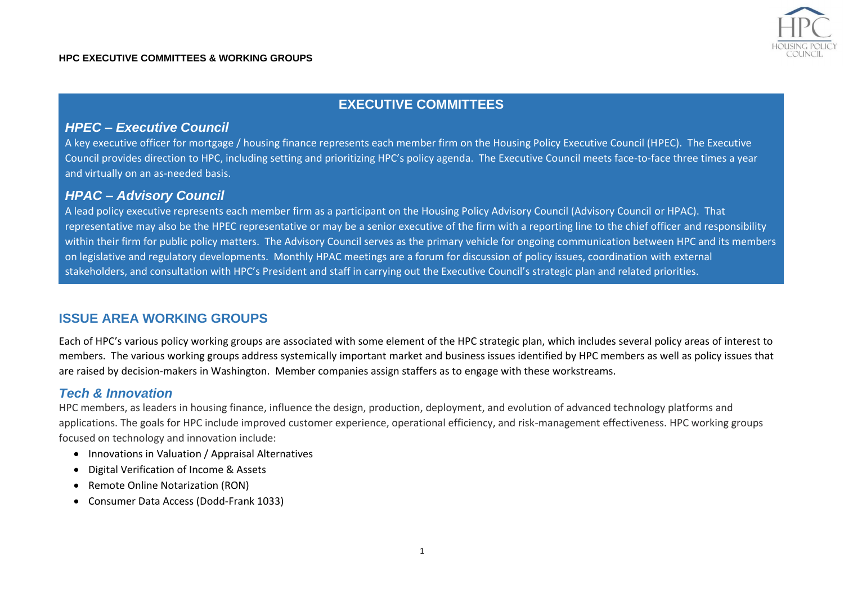

# **EXECUTIVE COMMITTEES**

### *HPEC – Executive Council*

A key executive officer for mortgage / housing finance represents each member firm on the Housing Policy Executive Council (HPEC). The Executive Council provides direction to HPC, including setting and prioritizing HPC's policy agenda. The Executive Council meets face-to-face three times a year and virtually on an as-needed basis.

# *HPAC – Advisory Council*

A lead policy executive represents each member firm as a participant on the Housing Policy Advisory Council (Advisory Council or HPAC). That representative may also be the HPEC representative or may be a senior executive of the firm with a reporting line to the chief officer and responsibility within their firm for public policy matters. The Advisory Council serves as the primary vehicle for ongoing communication between HPC and its members on legislative and regulatory developments. Monthly HPAC meetings are a forum for discussion of policy issues, coordination with external stakeholders, and consultation with HPC's President and staff in carrying out the Executive Council's strategic plan and related priorities.

# **ISSUE AREA WORKING GROUPS**

Each of HPC's various policy working groups are associated with some element of the HPC strategic plan, which includes several policy areas of interest to members. The various working groups address systemically important market and business issues identified by HPC members as well as policy issues that are raised by decision-makers in Washington. Member companies assign staffers as to engage with these workstreams.

# *Tech & Innovation*

HPC members, as leaders in housing finance, influence the design, production, deployment, and evolution of advanced technology platforms and applications. The goals for HPC include improved customer experience, operational efficiency, and risk-management effectiveness. HPC working groups focused on technology and innovation include:

- Innovations in Valuation / Appraisal Alternatives
- Digital Verification of Income & Assets
- Remote Online Notarization (RON)
- Consumer Data Access (Dodd-Frank 1033)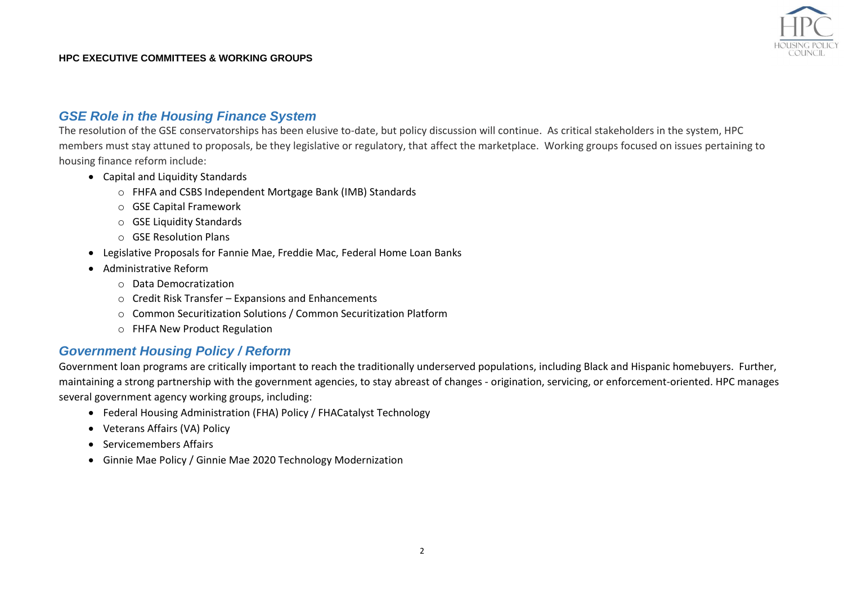

#### *GSE Role in the Housing Finance System*

The resolution of the GSE conservatorships has been elusive to-date, but policy discussion will continue. As critical stakeholders in the system, HPC members must stay attuned to proposals, be they legislative or regulatory, that affect the marketplace. Working groups focused on issues pertaining to housing finance reform include:

- Capital and Liquidity Standards
	- o FHFA and CSBS Independent Mortgage Bank (IMB) Standards
	- o GSE Capital Framework
	- o GSE Liquidity Standards
	- o GSE Resolution Plans
- Legislative Proposals for Fannie Mae, Freddie Mac, Federal Home Loan Banks
- Administrative Reform
	- o Data Democratization
	- o Credit Risk Transfer Expansions and Enhancements
	- o Common Securitization Solutions / Common Securitization Platform
	- o FHFA New Product Regulation

# *Government Housing Policy / Reform*

Government loan programs are critically important to reach the traditionally underserved populations, including Black and Hispanic homebuyers. Further, maintaining a strong partnership with the government agencies, to stay abreast of changes - origination, servicing, or enforcement-oriented. HPC manages several government agency working groups, including:

- Federal Housing Administration (FHA) Policy / FHACatalyst Technology
- Veterans Affairs (VA) Policy
- Servicemembers Affairs
- Ginnie Mae Policy / Ginnie Mae 2020 Technology Modernization